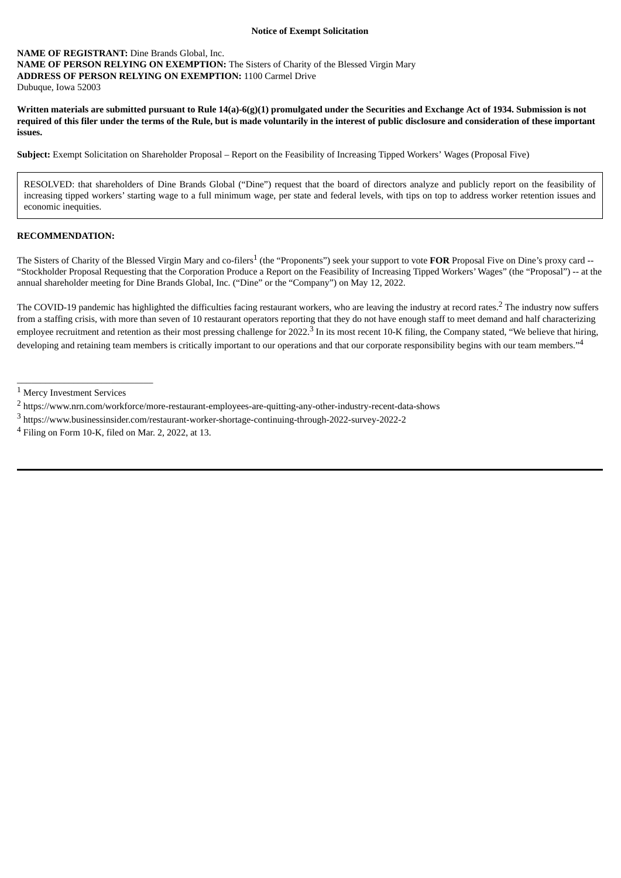## **Notice of Exempt Solicitation**

## **NAME OF REGISTRANT:** Dine Brands Global, Inc. **NAME OF PERSON RELYING ON EXEMPTION:** The Sisters of Charity of the Blessed Virgin Mary **ADDRESS OF PERSON RELYING ON EXEMPTION:** 1100 Carmel Drive Dubuque, Iowa 52003

Written materials are submitted pursuant to Rule 14(a)-6(g)(1) promulgated under the Securities and Exchange Act of 1934. Submission is not required of this filer under the terms of the Rule, but is made voluntarily in the interest of public disclosure and consideration of these important **issues.**

**Subject:** Exempt Solicitation on Shareholder Proposal – Report on the Feasibility of Increasing Tipped Workers' Wages (Proposal Five)

RESOLVED: that shareholders of Dine Brands Global ("Dine") request that the board of directors analyze and publicly report on the feasibility of increasing tipped workers' starting wage to a full minimum wage, per state and federal levels, with tips on top to address worker retention issues and economic inequities.

## **RECOMMENDATION:**

The Sisters of Charity of the Blessed Virgin Mary and co-filers<sup>1</sup> (the "Proponents") seek your support to vote FOR Proposal Five on Dine's proxy card --"Stockholder Proposal Requesting that the Corporation Produce a Report on the Feasibility of Increasing Tipped Workers' Wages" (the "Proposal") -- at the annual shareholder meeting for Dine Brands Global, Inc. ("Dine" or the "Company") on May 12, 2022.

The COVID-19 pandemic has highlighted the difficulties facing restaurant workers, who are leaving the industry at record rates.<sup>2</sup> The industry now suffers from a staffing crisis, with more than seven of 10 restaurant operators reporting that they do not have enough staff to meet demand and half characterizing employee recruitment and retention as their most pressing challenge for 2022.<sup>3</sup> In its most recent 10-K filing, the Company stated, "We believe that hiring, developing and retaining team members is critically important to our operations and that our corporate responsibility begins with our team members."<sup>4</sup>

 $\_$ 

<sup>1</sup> Mercy Investment Services

<sup>2</sup> https://www.nrn.com/workforce/more-restaurant-employees-are-quitting-any-other-industry-recent-data-shows

 $^3$ https://www.businessinsider.com/restaurant-worker-shortage-continuing-through-2022-survey-2022-2

<sup>4</sup> Filing on Form 10-K, filed on Mar. 2, 2022, at 13.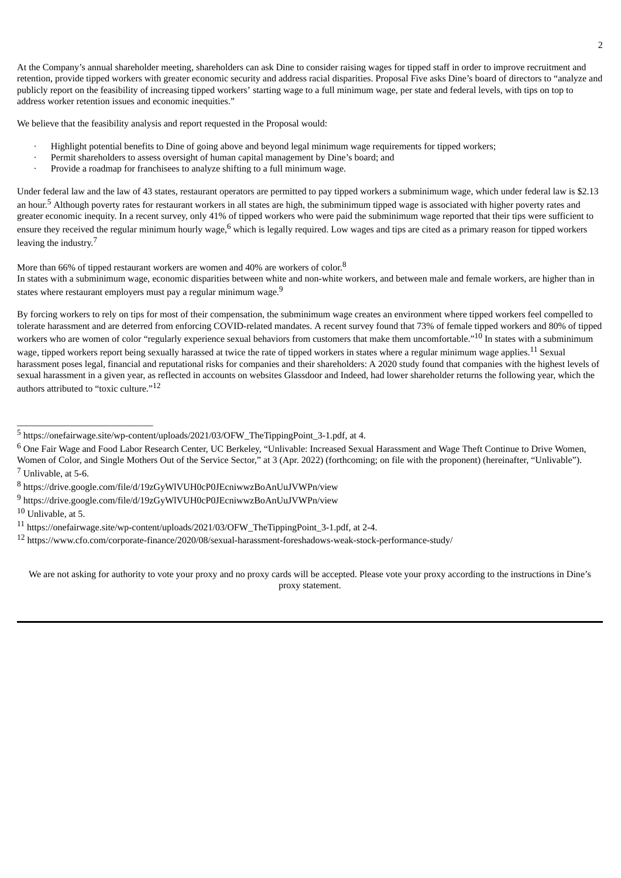At the Company's annual shareholder meeting, shareholders can ask Dine to consider raising wages for tipped staff in order to improve recruitment and retention, provide tipped workers with greater economic security and address racial disparities. Proposal Five asks Dine's board of directors to "analyze and publicly report on the feasibility of increasing tipped workers' starting wage to a full minimum wage, per state and federal levels, with tips on top to address worker retention issues and economic inequities."

We believe that the feasibility analysis and report requested in the Proposal would:

- · Highlight potential benefits to Dine of going above and beyond legal minimum wage requirements for tipped workers;
- Permit shareholders to assess oversight of human capital management by Dine's board; and
- · Provide a roadmap for franchisees to analyze shifting to a full minimum wage.

Under federal law and the law of 43 states, restaurant operators are permitted to pay tipped workers a subminimum wage, which under federal law is \$2.13 an hour.<sup>5</sup> Although poverty rates for restaurant workers in all states are high, the subminimum tipped wage is associated with higher poverty rates and greater economic inequity. In a recent survey, only 41% of tipped workers who were paid the subminimum wage reported that their tips were sufficient to ensure they received the regular minimum hourly wage,  $^6$  which is legally required. Low wages and tips are cited as a primary reason for tipped workers leaving the industry.<sup>7</sup>

More than 66% of tipped restaurant workers are women and 40% are workers of  $color.^8$ 

In states with a subminimum wage, economic disparities between white and non-white workers, and between male and female workers, are higher than in states where restaurant employers must pay a regular minimum wage. $^9$ 

By forcing workers to rely on tips for most of their compensation, the subminimum wage creates an environment where tipped workers feel compelled to tolerate harassment and are deterred from enforcing COVID-related mandates. A recent survey found that 73% of female tipped workers and 80% of tipped workers who are women of color "regularly experience sexual behaviors from customers that make them uncomfortable."<sup>10</sup> In states with a subminimum wage, tipped workers report being sexually harassed at twice the rate of tipped workers in states where a regular minimum wage applies. $^{11}$  Sexual harassment poses legal, financial and reputational risks for companies and their shareholders: A 2020 study found that companies with the highest levels of sexual harassment in a given year, as reflected in accounts on websites Glassdoor and Indeed, had lower shareholder returns the following year, which the authors attributed to "toxic culture."<sup>12</sup>

 $\_$ 

We are not asking for authority to vote your proxy and no proxy cards will be accepted. Please vote your proxy according to the instructions in Dine's proxy statement.

<sup>5</sup> https://onefairwage.site/wp-content/uploads/2021/03/OFW\_TheTippingPoint\_3-1.pdf, at 4.

<sup>&</sup>lt;sup>6</sup> One Fair Wage and Food Labor Research Center, UC Berkeley, "Unlivable: Increased Sexual Harassment and Wage Theft Continue to Drive Women, Women of Color, and Single Mothers Out of the Service Sector," at 3 (Apr. 2022) (forthcoming; on file with the proponent) (hereinafter, "Unlivable"). <sup>7</sup> Unlivable, at 5-6.

<sup>8</sup> https://drive.google.com/file/d/19zGyWlVUH0cP0JEcniwwzBoAnUuJVWPn/view

<sup>9</sup> https://drive.google.com/file/d/19zGyWlVUH0cP0JEcniwwzBoAnUuJVWPn/view

<sup>10</sup> Unlivable, at 5.

<sup>11</sup> https://onefairwage.site/wp-content/uploads/2021/03/OFW\_TheTippingPoint\_3-1.pdf, at 2-4.

<sup>12</sup> https://www.cfo.com/corporate-finance/2020/08/sexual-harassment-foreshadows-weak-stock-performance-study/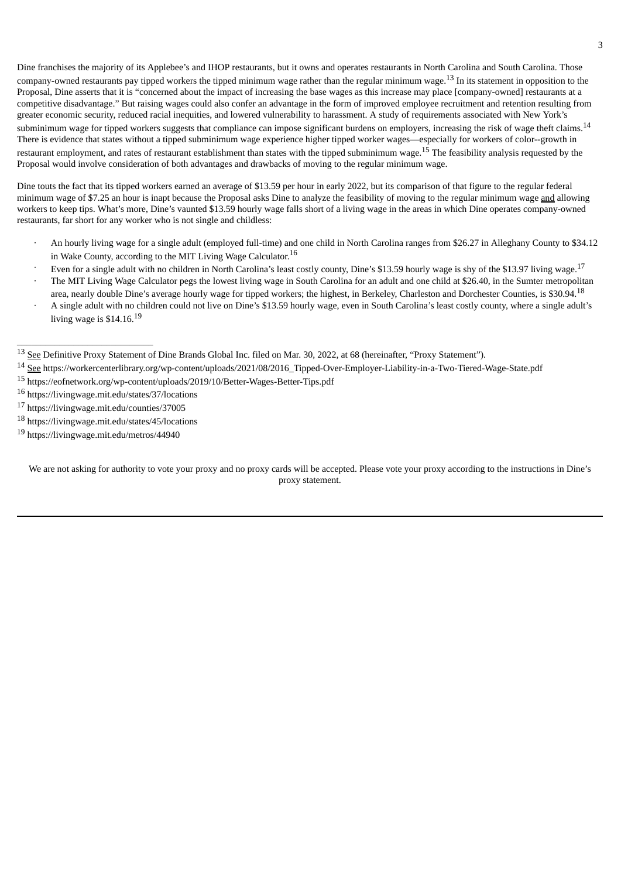Dine franchises the majority of its Applebee's and IHOP restaurants, but it owns and operates restaurants in North Carolina and South Carolina. Those company-owned restaurants pay tipped workers the tipped minimum wage rather than the regular minimum wage.<sup>13</sup> In its statement in opposition to the Proposal, Dine asserts that it is "concerned about the impact of increasing the base wages as this increase may place [company-owned] restaurants at a competitive disadvantage." But raising wages could also confer an advantage in the form of improved employee recruitment and retention resulting from greater economic security, reduced racial inequities, and lowered vulnerability to harassment. A study of requirements associated with New York's subminimum wage for tipped workers suggests that compliance can impose significant burdens on employers, increasing the risk of wage theft claims.  $^{14}$ There is evidence that states without a tipped subminimum wage experience higher tipped worker wages—especially for workers of color--growth in restaurant employment, and rates of restaurant establishment than states with the tipped subminimum wage.<sup>15</sup> The feasibility analysis requested by the Proposal would involve consideration of both advantages and drawbacks of moving to the regular minimum wage.

Dine touts the fact that its tipped workers earned an average of \$13.59 per hour in early 2022, but its comparison of that figure to the regular federal minimum wage of \$7.25 an hour is inapt because the Proposal asks Dine to analyze the feasibility of moving to the regular minimum wage and allowing workers to keep tips. What's more, Dine's vaunted \$13.59 hourly wage falls short of a living wage in the areas in which Dine operates company-owned restaurants, far short for any worker who is not single and childless:

- · An hourly living wage for a single adult (employed full-time) and one child in North Carolina ranges from \$26.27 in Alleghany County to \$34.12 in Wake County, according to the MIT Living Wage Calculator. $^{16}$
- Even for a single adult with no children in North Carolina's least costly county, Dine's \$13.59 hourly wage is shy of the \$13.97 living wage.<sup>17</sup>
- · The MIT Living Wage Calculator pegs the lowest living wage in South Carolina for an adult and one child at \$26.40, in the Sumter metropolitan area, nearly double Dine's average hourly wage for tipped workers; the highest, in Berkeley, Charleston and Dorchester Counties, is \$30.94.<sup>18</sup>
- · A single adult with no children could not live on Dine's \$13.59 hourly wage, even in South Carolina's least costly county, where a single adult's living wage is  $$14.16$ . $^{19}$

- <sup>15</sup> https://eofnetwork.org/wp-content/uploads/2019/10/Better-Wages-Better-Tips.pdf
- <sup>16</sup> https://livingwage.mit.edu/states/37/locations
- <sup>17</sup> https://livingwage.mit.edu/counties/37005

 $\_$ 

- <sup>18</sup> https://livingwage.mit.edu/states/45/locations
- <sup>19</sup> https://livingwage.mit.edu/metros/44940

We are not asking for authority to vote your proxy and no proxy cards will be accepted. Please vote your proxy according to the instructions in Dine's proxy statement.

<sup>&</sup>lt;sup>13</sup> See Definitive Proxy Statement of Dine Brands Global Inc. filed on Mar. 30, 2022, at 68 (hereinafter, "Proxy Statement").

<sup>14</sup> See https://workercenterlibrary.org/wp-content/uploads/2021/08/2016\_Tipped-Over-Employer-Liability-in-a-Two-Tiered-Wage-State.pdf